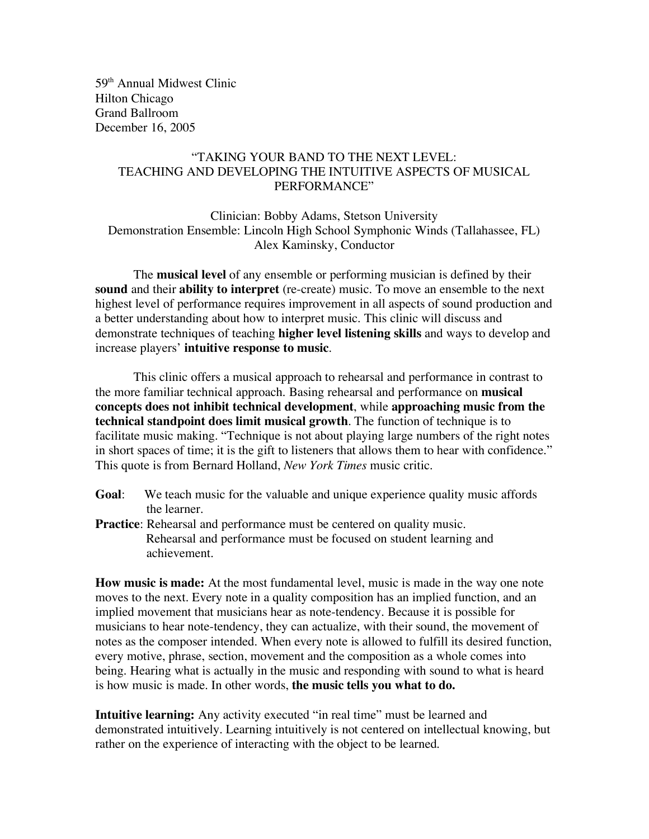59th Annual Midwest Clinic Hilton Chicago Grand Ballroom December 16, 2005

## "TAKING YOUR BAND TO THE NEXT LEVEL: TEACHING AND DEVELOPING THE INTUITIVE ASPECTS OF MUSICAL PERFORMANCE"

Clinician: Bobby Adams, Stetson University Demonstration Ensemble: Lincoln High School Symphonic Winds (Tallahassee, FL) Alex Kaminsky, Conductor

The **musical level** of any ensemble or performing musician is defined by their **sound** and their **ability to interpret** (re-create) music. To move an ensemble to the next highest level of performance requires improvement in all aspects of sound production and a better understanding about how to interpret music. This clinic will discuss and demonstrate techniques of teaching **higher level listening skills** and ways to develop and increase players' **intuitive response to music**.

This clinic offers a musical approach to rehearsal and performance in contrast to the more familiar technical approach. Basing rehearsal and performance on **musical concepts does not inhibit technical development**, while **approaching music from the technical standpoint does limit musical growth**. The function of technique is to facilitate music making. "Technique is not about playing large numbers of the right notes in short spaces of time; it is the gift to listeners that allows them to hear with confidence." This quote is from Bernard Holland, *New York Times* music critic.

- **Goal**: We teach music for the valuable and unique experience quality music affords the learner.
- **Practice**: Rehearsal and performance must be centered on quality music. Rehearsal and performance must be focused on student learning and achievement.

**How music is made:** At the most fundamental level, music is made in the way one note moves to the next. Every note in a quality composition has an implied function, and an implied movement that musicians hear as note-tendency. Because it is possible for musicians to hear note-tendency, they can actualize, with their sound, the movement of notes as the composer intended. When every note is allowed to fulfill its desired function, every motive, phrase, section, movement and the composition as a whole comes into being. Hearing what is actually in the music and responding with sound to what is heard is how music is made. In other words, **the music tells you what to do.**

**Intuitive learning:** Any activity executed "in real time" must be learned and demonstrated intuitively. Learning intuitively is not centered on intellectual knowing, but rather on the experience of interacting with the object to be learned.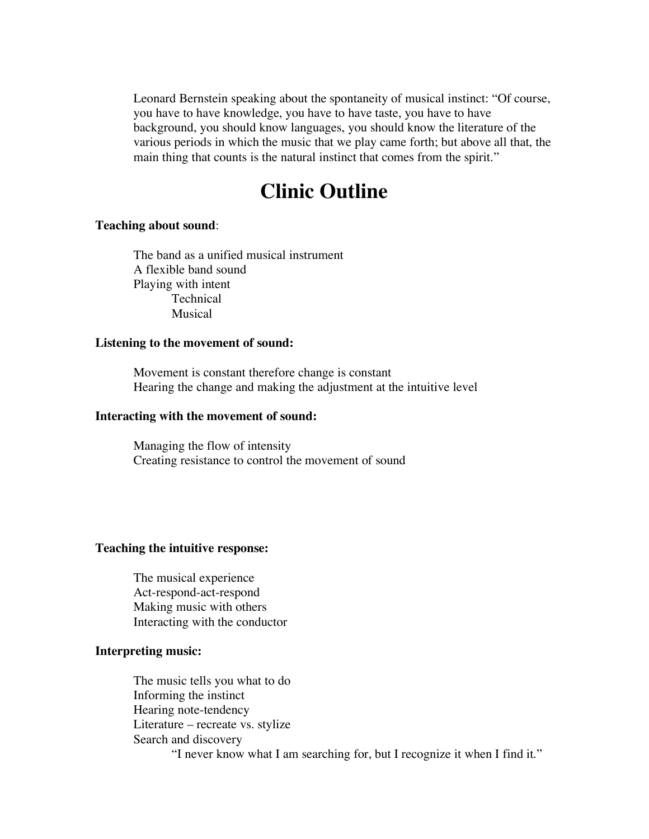Leonard Bernstein speaking about the spontaneity of musical instinct: "Of course, you have to have knowledge, you have to have taste, you have to have background, you should know languages, you should know the literature of the various periods in which the music that we play came forth; but above all that, the main thing that counts is the natural instinct that comes from the spirit."

# **Clinic Outline**

#### **Teaching about sound**:

The band as a unified musical instrument A flexible band sound Playing with intent **Technical** Musical

#### **Listening to the movement of sound:**

Movement is constant therefore change is constant Hearing the change and making the adjustment at the intuitive level

#### **Interacting with the movement of sound:**

Managing the flow of intensity Creating resistance to control the movement of sound

### **Teaching the intuitive response:**

The musical experience Act-respond-act-respond Making music with others Interacting with the conductor

#### **Interpreting music:**

The music tells you what to do Informing the instinct Hearing note-tendency Literature – recreate vs. stylize Search and discovery "I never know what I am searching for, but I recognize it when I find it."